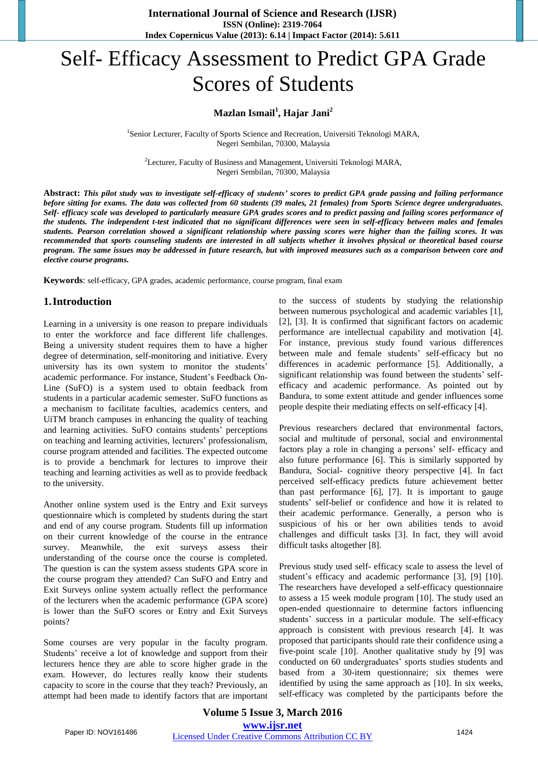# Self- Efficacy Assessment to Predict GPA Grade Scores of Students

## **Mazlan Ismail<sup>1</sup> , Hajar Jani<sup>2</sup>**

<sup>1</sup>Senior Lecturer, Faculty of Sports Science and Recreation, Universiti Teknologi MARA, Negeri Sembilan, 70300, Malaysia

<sup>2</sup>Lecturer, Faculty of Business and Management, Universiti Teknologi MARA, Negeri Sembilan, 70300, Malaysia

**Abstract:** *This pilot study was to investigate self-efficacy of students' scores to predict GPA grade passing and failing performance before sitting for exams. The data was collected from 60 students (39 males, 21 females) from Sports Science degree undergraduates. Self- efficacy scale was developed to particularly measure GPA grades scores and to predict passing and failing scores performance of the students. The independent t-test indicated that no significant differences were seen in self-efficacy between males and females students. Pearson correlation showed a significant relationship where passing scores were higher than the failing scores. It was recommended that sports counseling students are interested in all subjects whether it involves physical or theoretical based course program. The same issues may be addressed in future research, but with improved measures such as a comparison between core and elective course programs.*

**Keywords**: self-efficacy, GPA grades, academic performance, course program, final exam

### **1.Introduction**

Learning in a university is one reason to prepare individuals to enter the workforce and face different life challenges. Being a university student requires them to have a higher degree of determination, self-monitoring and initiative. Every university has its own system to monitor the students' academic performance. For instance, Student's Feedback On-Line (SuFO) is a system used to obtain feedback from students in a particular academic semester. SuFO functions as a mechanism to facilitate faculties, academics centers, and UiTM branch campuses in enhancing the quality of teaching and learning activities. SuFO contains students' perceptions on teaching and learning activities, lecturers' professionalism, course program attended and facilities. The expected outcome is to provide a benchmark for lectures to improve their teaching and learning activities as well as to provide feedback to the university.

Another online system used is the Entry and Exit surveys questionnaire which is completed by students during the start and end of any course program. Students fill up information on their current knowledge of the course in the entrance survey. Meanwhile, the exit surveys assess their understanding of the course once the course is completed. The question is can the system assess students GPA score in the course program they attended? Can SuFO and Entry and Exit Surveys online system actually reflect the performance of the lecturers when the academic performance (GPA score) is lower than the SuFO scores or Entry and Exit Surveys points?

Some courses are very popular in the faculty program. Students' receive a lot of knowledge and support from their lecturers hence they are able to score higher grade in the exam. However, do lectures really know their students capacity to score in the course that they teach? Previously, an attempt had been made to identify factors that are important to the success of students by studying the relationship between numerous psychological and academic variables [1], [2], [3]. It is confirmed that significant factors on academic performance are intellectual capability and motivation [4]. For instance, previous study found various differences between male and female students' self-efficacy but no differences in academic performance [5]. Additionally, a significant relationship was found between the students' selfefficacy and academic performance. As pointed out by Bandura, to some extent attitude and gender influences some people despite their mediating effects on self-efficacy [4].

Previous researchers declared that environmental factors, social and multitude of personal, social and environmental factors play a role in changing a persons' self- efficacy and also future performance [6]. This is similarly supported by Bandura, Social- cognitive theory perspective [4]. In fact perceived self-efficacy predicts future achievement better than past performance [6], [7]. It is important to gauge students' self-belief or confidence and how it is related to their academic performance. Generally, a person who is suspicious of his or her own abilities tends to avoid challenges and difficult tasks [3]. In fact, they will avoid difficult tasks altogether [8].

Previous study used self- efficacy scale to assess the level of student's efficacy and academic performance [3], [9] [10]. The researchers have developed a self-efficacy questionnaire to assess a 15 week module program [10]. The study used an open-ended questionnaire to determine factors influencing students' success in a particular module. The self-efficacy approach is consistent with previous research [4]. It was proposed that participants should rate their confidence using a five-point scale [10]. Another qualitative study by [9] was conducted on 60 undergraduates' sports studies students and based from a 30-item questionnaire; six themes were identified by using the same approach as [10]. In six weeks, self-efficacy was completed by the participants before the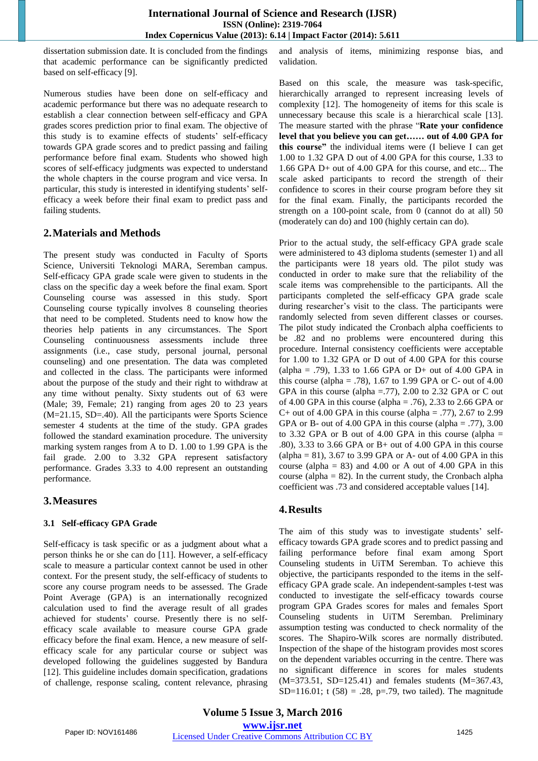dissertation submission date. It is concluded from the findings that academic performance can be significantly predicted based on self-efficacy [9].

Numerous studies have been done on self-efficacy and academic performance but there was no adequate research to establish a clear connection between self-efficacy and GPA grades scores prediction prior to final exam. The objective of this study is to examine effects of students' self-efficacy towards GPA grade scores and to predict passing and failing performance before final exam. Students who showed high scores of self-efficacy judgments was expected to understand the whole chapters in the course program and vice versa. In particular, this study is interested in identifying students' selfefficacy a week before their final exam to predict pass and failing students.

## **2.Materials and Methods**

The present study was conducted in Faculty of Sports Science, Universiti Teknologi MARA, Seremban campus. Self-efficacy GPA grade scale were given to students in the class on the specific day a week before the final exam. Sport Counseling course was assessed in this study. Sport Counseling course typically involves 8 counseling theories that need to be completed. Students need to know how the theories help patients in any circumstances. The Sport Counseling continuousness assessments include three assignments (i.e., case study, personal journal, personal counseling) and one presentation. The data was completed and collected in the class. The participants were informed about the purpose of the study and their right to withdraw at any time without penalty. Sixty students out of 63 were (Male; 39, Female; 21) ranging from ages 20 to 23 years (M=21.15, SD=.40). All the participants were Sports Science semester 4 students at the time of the study. GPA grades followed the standard examination procedure. The university marking system ranges from A to D. 1.00 to 1.99 GPA is the fail grade. 2.00 to 3.32 GPA represent satisfactory performance. Grades 3.33 to 4.00 represent an outstanding performance.

## **3.Measures**

### **3.1 Self-efficacy GPA Grade**

Self-efficacy is task specific or as a judgment about what a person thinks he or she can do [11]. However, a self-efficacy scale to measure a particular context cannot be used in other context. For the present study, the self-efficacy of students to score any course program needs to be assessed. The Grade Point Average (GPA) is an internationally recognized calculation used to find the average result of all grades achieved for students' course. Presently there is no selfefficacy scale available to measure course GPA grade efficacy before the final exam. Hence, a new measure of selfefficacy scale for any particular course or subject was developed following the guidelines suggested by Bandura [12]. This guideline includes domain specification, gradations of challenge, response scaling, content relevance, phrasing and analysis of items, minimizing response bias, and validation.

Based on this scale, the measure was task-specific, hierarchically arranged to represent increasing levels of complexity [12]. The homogeneity of items for this scale is unnecessary because this scale is a hierarchical scale [13]. The measure started with the phrase "**Rate your confidence level that you believe you can get…… out of 4.00 GPA for this course"** the individual items were (I believe I can get 1.00 to 1.32 GPA D out of 4.00 GPA for this course, 1.33 to 1.66 GPA D+ out of 4.00 GPA for this course, and etc... The scale asked participants to record the strength of their confidence to scores in their course program before they sit for the final exam. Finally, the participants recorded the strength on a 100-point scale, from 0 (cannot do at all) 50 (moderately can do) and 100 (highly certain can do).

Prior to the actual study, the self-efficacy GPA grade scale were administered to 43 diploma students (semester 1) and all the participants were 18 years old. The pilot study was conducted in order to make sure that the reliability of the scale items was comprehensible to the participants. All the participants completed the self-efficacy GPA grade scale during researcher's visit to the class. The participants were randomly selected from seven different classes or courses. The pilot study indicated the Cronbach alpha coefficients to be .82 and no problems were encountered during this procedure. Internal consistency coefficients were acceptable for 1.00 to 1.32 GPA or D out of 4.00 GPA for this course (alpha = .79), 1.33 to 1.66 GPA or D+ out of 4.00 GPA in this course (alpha = .78), 1.67 to 1.99 GPA or C- out of  $4.00$ GPA in this course (alpha  $=$ .77), 2.00 to 2.32 GPA or C out of 4.00 GPA in this course (alpha = .76), 2.33 to 2.66 GPA or C+ out of 4.00 GPA in this course (alpha = .77), 2.67 to 2.99 GPA or B- out of 4.00 GPA in this course (alpha  $= .77$ ), 3.00 to 3.32 GPA or B out of 4.00 GPA in this course (alpha  $=$ .80), 3.33 to 3.66 GPA or B+ out of 4.00 GPA in this course (alpha = 81), 3.67 to 3.99 GPA or A- out of 4.00 GPA in this course (alpha  $= 83$ ) and 4.00 or A out of 4.00 GPA in this course (alpha  $= 82$ ). In the current study, the Cronbach alpha coefficient was .73 and considered acceptable values [14].

### **4.Results**

The aim of this study was to investigate students' selfefficacy towards GPA grade scores and to predict passing and failing performance before final exam among Sport Counseling students in UiTM Seremban. To achieve this objective, the participants responded to the items in the selfefficacy GPA grade scale. An independent-samples t-test was conducted to investigate the self-efficacy towards course program GPA Grades scores for males and females Sport Counseling students in UiTM Seremban. Preliminary assumption testing was conducted to check normality of the scores. The Shapiro-Wilk scores are normally distributed. Inspection of the shape of the histogram provides most scores on the dependent variables occurring in the centre. There was no significant difference in scores for males students (M=373.51, SD=125.41) and females students (M=367.43, SD=116.01; t  $(58) = .28$ , p=.79, two tailed). The magnitude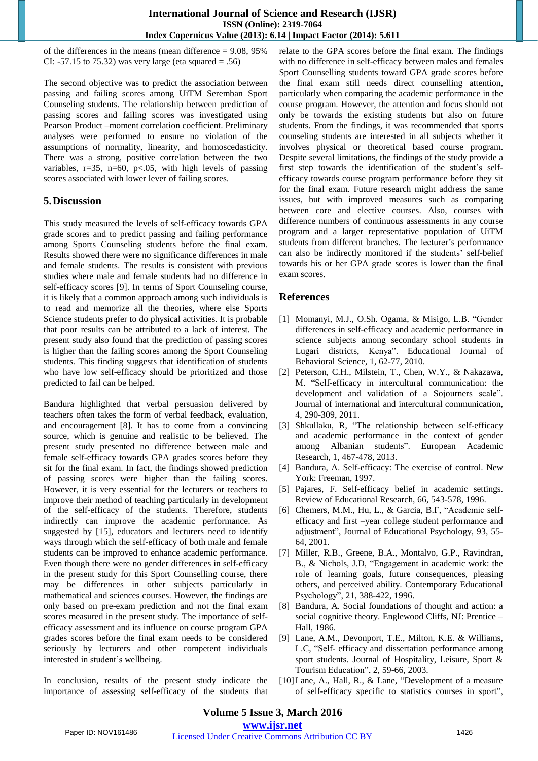of the differences in the means (mean difference = 9.08, 95% CI: -57.15 to 75.32) was very large (eta squared  $= .56$ )

The second objective was to predict the association between passing and failing scores among UiTM Seremban Sport Counseling students. The relationship between prediction of passing scores and failing scores was investigated using Pearson Product –moment correlation coefficient. Preliminary analyses were performed to ensure no violation of the assumptions of normality, linearity, and homoscedasticity. There was a strong, positive correlation between the two variables,  $r=35$ ,  $n=60$ ,  $p<0.05$ , with high levels of passing scores associated with lower lever of failing scores.

### **5.Discussion**

This study measured the levels of self-efficacy towards GPA grade scores and to predict passing and failing performance among Sports Counseling students before the final exam. Results showed there were no significance differences in male and female students. The results is consistent with previous studies where male and female students had no difference in self-efficacy scores [9]. In terms of Sport Counseling course, it is likely that a common approach among such individuals is to read and memorize all the theories, where else Sports Science students prefer to do physical activities. It is probable that poor results can be attributed to a lack of interest. The present study also found that the prediction of passing scores is higher than the failing scores among the Sport Counseling students. This finding suggests that identification of students who have low self-efficacy should be prioritized and those predicted to fail can be helped.

Bandura highlighted that verbal persuasion delivered by teachers often takes the form of verbal feedback, evaluation, and encouragement [8]. It has to come from a convincing source, which is genuine and realistic to be believed. The present study presented no difference between male and female self-efficacy towards GPA grades scores before they sit for the final exam. In fact, the findings showed prediction of passing scores were higher than the failing scores. However, it is very essential for the lecturers or teachers to improve their method of teaching particularly in development of the self-efficacy of the students. Therefore, students indirectly can improve the academic performance. As suggested by [15], educators and lecturers need to identify ways through which the self-efficacy of both male and female students can be improved to enhance academic performance. Even though there were no gender differences in self-efficacy in the present study for this Sport Counselling course, there may be differences in other subjects particularly in mathematical and sciences courses. However, the findings are only based on pre-exam prediction and not the final exam scores measured in the present study. The importance of selfefficacy assessment and its influence on course program GPA grades scores before the final exam needs to be considered seriously by lecturers and other competent individuals interested in student's wellbeing.

In conclusion, results of the present study indicate the importance of assessing self-efficacy of the students that relate to the GPA scores before the final exam. The findings with no difference in self-efficacy between males and females Sport Counselling students toward GPA grade scores before the final exam still needs direct counselling attention, particularly when comparing the academic performance in the course program. However, the attention and focus should not only be towards the existing students but also on future students. From the findings, it was recommended that sports counseling students are interested in all subjects whether it involves physical or theoretical based course program. Despite several limitations, the findings of the study provide a first step towards the identification of the student's selfefficacy towards course program performance before they sit for the final exam. Future research might address the same issues, but with improved measures such as comparing between core and elective courses. Also, courses with difference numbers of continuous assessments in any course program and a larger representative population of UiTM students from different branches. The lecturer's performance can also be indirectly monitored if the students' self-belief towards his or her GPA grade scores is lower than the final exam scores.

## **References**

- [1] Momanyi, M.J., O.Sh. Ogama, & Misigo, L.B. "Gender differences in self-efficacy and academic performance in science subjects among secondary school students in Lugari districts, Kenya". Educational Journal of Behavioral Science, 1, 62-77, 2010.
- [2] Peterson, C.H., Milstein, T., Chen, W.Y., & Nakazawa, M. "Self-efficacy in intercultural communication: the development and validation of a Sojourners scale". Journal of international and intercultural communication, 4, 290-309, 2011.
- [3] Shkullaku, R, "The relationship between self-efficacy and academic performance in the context of gender among Albanian students". European Academic Research, 1, 467-478, 2013.
- [4] Bandura, A. Self-efficacy: The exercise of control. New York: Freeman, 1997.
- [5] Pajares, F. Self-efficacy belief in academic settings. Review of Educational Research, 66, 543-578, 1996.
- [6] Chemers, M.M., Hu, L., & Garcia, B.F, "Academic selfefficacy and first –year college student performance and adjustment", Journal of Educational Psychology, 93, 55- 64, 2001.
- [7] Miller, R.B., Greene, B.A., Montalvo, G.P., Ravindran, B., & Nichols, J.D, "Engagement in academic work: the role of learning goals, future consequences, pleasing others, and perceived ability. Contemporary Educational Psychology", 21, 388-422, 1996.
- [8] Bandura, A. Social foundations of thought and action: a social cognitive theory. Englewood Cliffs, NJ: Prentice – Hall, 1986.
- [9] Lane, A.M., Devonport, T.E., Milton, K.E. & Williams, L.C, "Self- efficacy and dissertation performance among sport students. Journal of Hospitality, Leisure, Sport & Tourism Education", 2, 59-66, 2003.
- [10]Lane, A., Hall, R., & Lane, "Development of a measure of self-efficacy specific to statistics courses in sport",